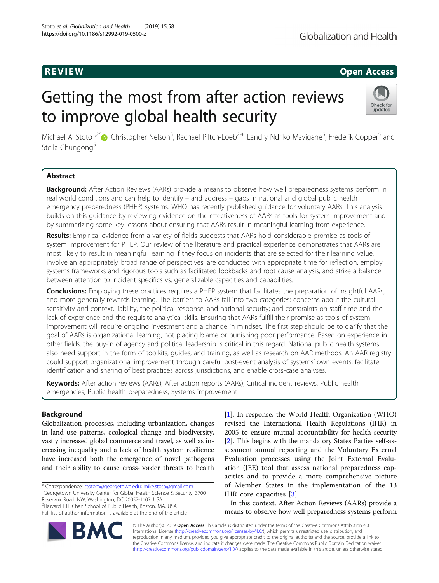# R EVI EW Open Access

# Getting the most from after action reviews to improve global health security



Michael A. Stoto<sup>1[,](http://orcid.org/0000-0001-8293-471X)2\*</sup>®, Christopher Nelson<sup>3</sup>, Rachael Piltch-Loeb<sup>2,4</sup>, Landry Ndriko Mayigane<sup>5</sup>, Frederik Copper<sup>5</sup> and Stella Chungong<sup>5</sup>

# Abstract

Background: After Action Reviews (AARs) provide a means to observe how well preparedness systems perform in real world conditions and can help to identify – and address – gaps in national and global public health emergency preparedness (PHEP) systems. WHO has recently published guidance for voluntary AARs. This analysis builds on this guidance by reviewing evidence on the effectiveness of AARs as tools for system improvement and by summarizing some key lessons about ensuring that AARs result in meaningful learning from experience.

Results: Empirical evidence from a variety of fields suggests that AARs hold considerable promise as tools of system improvement for PHEP. Our review of the literature and practical experience demonstrates that AARs are most likely to result in meaningful learning if they focus on incidents that are selected for their learning value, involve an appropriately broad range of perspectives, are conducted with appropriate time for reflection, employ systems frameworks and rigorous tools such as facilitated lookbacks and root cause analysis, and strike a balance between attention to incident specifics vs. generalizable capacities and capabilities.

Conclusions: Employing these practices requires a PHEP system that facilitates the preparation of insightful AARs, and more generally rewards learning. The barriers to AARs fall into two categories: concerns about the cultural sensitivity and context, liability, the political response, and national security; and constraints on staff time and the lack of experience and the requisite analytical skills. Ensuring that AARs fulfill their promise as tools of system improvement will require ongoing investment and a change in mindset. The first step should be to clarify that the goal of AARs is organizational learning, not placing blame or punishing poor performance. Based on experience in other fields, the buy-in of agency and political leadership is critical in this regard. National public health systems also need support in the form of toolkits, guides, and training, as well as research on AAR methods. An AAR registry could support organizational improvement through careful post-event analysis of systems' own events, facilitate identification and sharing of best practices across jurisdictions, and enable cross-case analyses.

Keywords: After action reviews (AARs), After action reports (AARs), Critical incident reviews, Public health emergencies, Public health preparedness, Systems improvement

## Background

Globalization processes, including urbanization, changes in land use patterns, ecological change and biodiversity, vastly increased global commerce and travel, as well as increasing inequality and a lack of health system resilience have increased both the emergence of novel pathogens and their ability to cause cross-border threats to health

\* Correspondence: [stotom@georgetown.edu](mailto:stotom@georgetown.edu); [mike.stoto@gmail.com](mailto:mike.stoto@gmail.com) <sup>1</sup> <sup>1</sup>Georgetown University Center for Global Health Science & Security, 3700 Reservoir Road, NW, Washington, DC 20057-1107, USA 2 Harvard T.H. Chan School of Public Health, Boston, MA, USA

Full list of author information is available at the end of the article

[[1\]](#page-8-0). In response, the World Health Organization (WHO) revised the International Health Regulations (IHR) in 2005 to ensure mutual accountability for health security [[2\]](#page-8-0). This begins with the mandatory States Parties self-assessment annual reporting and the Voluntary External Evaluation processes using the Joint External Evaluation (JEE) tool that assess national preparedness capacities and to provide a more comprehensive picture of Member States in the implementation of the 13 IHR core capacities [[3](#page-8-0)].

In this context, After Action Reviews (AARs) provide a means to observe how well preparedness systems perform

© The Author(s). 2019 **Open Access** This article is distributed under the terms of the Creative Commons Attribution 4.0 International License [\(http://creativecommons.org/licenses/by/4.0/](http://creativecommons.org/licenses/by/4.0/)), which permits unrestricted use, distribution, and reproduction in any medium, provided you give appropriate credit to the original author(s) and the source, provide a link to the Creative Commons license, and indicate if changes were made. The Creative Commons Public Domain Dedication waiver [\(http://creativecommons.org/publicdomain/zero/1.0/](http://creativecommons.org/publicdomain/zero/1.0/)) applies to the data made available in this article, unless otherwise stated.

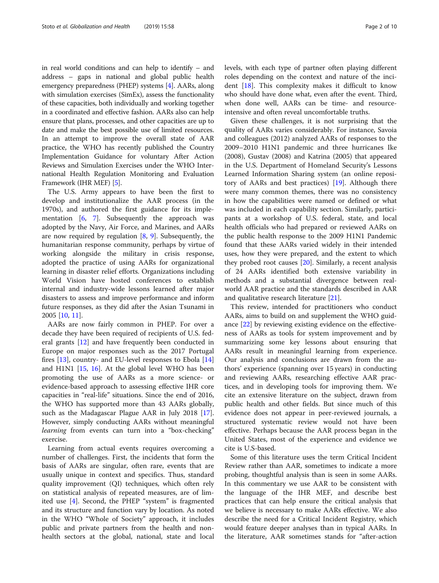in real world conditions and can help to identify – and address – gaps in national and global public health emergency preparedness (PHEP) systems [[4](#page-8-0)]. AARs, along with simulation exercises (SimEx), assess the functionality of these capacities, both individually and working together in a coordinated and effective fashion. AARs also can help ensure that plans, processes, and other capacities are up to date and make the best possible use of limited resources. In an attempt to improve the overall state of AAR practice, the WHO has recently published the Country Implementation Guidance for voluntary After Action Reviews and Simulation Exercises under the WHO International Health Regulation Monitoring and Evaluation Framework (IHR MEF) [\[5](#page-8-0)].

The U.S. Army appears to have been the first to develop and institutionalize the AAR process (in the 1970s), and authored the first guidance for its implementation  $[6, 7]$  $[6, 7]$  $[6, 7]$ . Subsequently the approach was adopted by the Navy, Air Force, and Marines, and AARs are now required by regulation  $[8, 9]$  $[8, 9]$  $[8, 9]$ . Subsequently, the humanitarian response community, perhaps by virtue of working alongside the military in crisis response, adopted the practice of using AARs for organizational learning in disaster relief efforts. Organizations including World Vision have hosted conferences to establish internal and industry-wide lessons learned after major disasters to assess and improve performance and inform future responses, as they did after the Asian Tsunami in 2005 [\[10](#page-9-0), [11](#page-9-0)].

AARs are now fairly common in PHEP. For over a decade they have been required of recipients of U.S. federal grants [\[12\]](#page-9-0) and have frequently been conducted in Europe on major responses such as the 2017 Portugal fires [[13](#page-9-0)], country- and EU-level responses to Ebola [[14](#page-9-0)] and H1N1 [[15,](#page-9-0) [16](#page-9-0)]. At the global level WHO has been promoting the use of AARs as a more science- or evidence-based approach to assessing effective IHR core capacities in "real-life" situations. Since the end of 2016, the WHO has supported more than 43 AARs globally, such as the Madagascar Plague AAR in July 2018 [\[17](#page-9-0)]. However, simply conducting AARs without meaningful learning from events can turn into a "box-checking" exercise.

Learning from actual events requires overcoming a number of challenges. First, the incidents that form the basis of AARs are singular, often rare, events that are usually unique in context and specifics. Thus, standard quality improvement (QI) techniques, which often rely on statistical analysis of repeated measures, are of limited use [[4](#page-8-0)]. Second, the PHEP "system" is fragmented and its structure and function vary by location. As noted in the WHO "Whole of Society" approach, it includes public and private partners from the health and nonhealth sectors at the global, national, state and local levels, with each type of partner often playing different roles depending on the context and nature of the incident [\[18](#page-9-0)]. This complexity makes it difficult to know who should have done what, even after the event. Third, when done well, AARs can be time- and resourceintensive and often reveal uncomfortable truths.

Given these challenges, it is not surprising that the quality of AARs varies considerably. For instance, Savoia and colleagues (2012) analyzed AARs of responses to the 2009–2010 H1N1 pandemic and three hurricanes Ike (2008), Gustav (2008) and Katrina (2005) that appeared in the U.S. Department of Homeland Security's Lessons Learned Information Sharing system (an online repository of AARs and best practices) [[19](#page-9-0)]. Although there were many common themes, there was no consistency in how the capabilities were named or defined or what was included in each capability section. Similarly, participants at a workshop of U.S. federal, state, and local health officials who had prepared or reviewed AARs on the public health response to the 2009 H1N1 Pandemic found that these AARs varied widely in their intended uses, how they were prepared, and the extent to which they probed root causes [[20](#page-9-0)]. Similarly, a recent analysis of 24 AARs identified both extensive variability in methods and a substantial divergence between realworld AAR practice and the standards described in AAR and qualitative research literature [\[21](#page-9-0)].

This review, intended for practitioners who conduct AARs, aims to build on and supplement the WHO guidance [\[22](#page-9-0)] by reviewing existing evidence on the effectiveness of AARs as tools for system improvement and by summarizing some key lessons about ensuring that AARs result in meaningful learning from experience. Our analysis and conclusions are drawn from the authors' experience (spanning over 15 years) in conducting and reviewing AARs, researching effective AAR practices, and in developing tools for improving them. We cite an extensive literature on the subject, drawn from public health and other fields. But since much of this evidence does not appear in peer-reviewed journals, a structured systematic review would not have been effective. Perhaps because the AAR process began in the United States, most of the experience and evidence we cite is U.S-based.

Some of this literature uses the term Critical Incident Review rather than AAR, sometimes to indicate a more probing, thoughtful analysis than is seen in some AARs. In this commentary we use AAR to be consistent with the language of the IHR MEF, and describe best practices that can help ensure the critical analysis that we believe is necessary to make AARs effective. We also describe the need for a Critical Incident Registry, which would feature deeper analyses than in typical AARs. In the literature, AAR sometimes stands for "after-action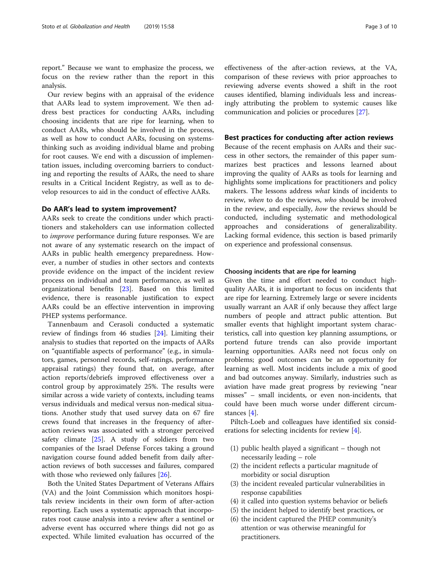report." Because we want to emphasize the process, we focus on the review rather than the report in this analysis.

Our review begins with an appraisal of the evidence that AARs lead to system improvement. We then address best practices for conducting AARs, including choosing incidents that are ripe for learning, when to conduct AARs, who should be involved in the process, as well as how to conduct AARs, focusing on systemsthinking such as avoiding individual blame and probing for root causes. We end with a discussion of implementation issues, including overcoming barriers to conducting and reporting the results of AARs, the need to share results in a Critical Incident Registry, as well as to develop resources to aid in the conduct of effective AARs.

#### Do AAR's lead to system improvement?

AARs seek to create the conditions under which practitioners and stakeholders can use information collected to improve performance during future responses. We are not aware of any systematic research on the impact of AARs in public health emergency preparedness. However, a number of studies in other sectors and contexts provide evidence on the impact of the incident review process on individual and team performance, as well as organizational benefits [\[23](#page-9-0)]. Based on this limited evidence, there is reasonable justification to expect AARs could be an effective intervention in improving PHEP systems performance.

Tannenbaum and Cerasoli conducted a systematic review of findings from 46 studies [\[24](#page-9-0)]. Limiting their analysis to studies that reported on the impacts of AARs on "quantifiable aspects of performance" (e.g., in simulators, games, personnel records, self-ratings, performance appraisal ratings) they found that, on average, after action reports/debriefs improved effectiveness over a control group by approximately 25%. The results were similar across a wide variety of contexts, including teams versus individuals and medical versus non-medical situations. Another study that used survey data on 67 fire crews found that increases in the frequency of afteraction reviews was associated with a stronger perceived safety climate [[25](#page-9-0)]. A study of soldiers from two companies of the Israel Defense Forces taking a ground navigation course found added benefit from daily afteraction reviews of both successes and failures, compared with those who reviewed only failures [\[26](#page-9-0)].

Both the United States Department of Veterans Affairs (VA) and the Joint Commission which monitors hospitals review incidents in their own form of after-action reporting. Each uses a systematic approach that incorporates root cause analysis into a review after a sentinel or adverse event has occurred where things did not go as expected. While limited evaluation has occurred of the

effectiveness of the after-action reviews, at the VA, comparison of these reviews with prior approaches to reviewing adverse events showed a shift in the root causes identified, blaming individuals less and increasingly attributing the problem to systemic causes like communication and policies or procedures [\[27](#page-9-0)].

## Best practices for conducting after action reviews

Because of the recent emphasis on AARs and their success in other sectors, the remainder of this paper summarizes best practices and lessons learned about improving the quality of AARs as tools for learning and highlights some implications for practitioners and policy makers. The lessons address what kinds of incidents to review, when to do the reviews, who should be involved in the review, and especially, how the reviews should be conducted, including systematic and methodological approaches and considerations of generalizability. Lacking formal evidence, this section is based primarily on experience and professional consensus.

#### Choosing incidents that are ripe for learning

Given the time and effort needed to conduct highquality AARs, it is important to focus on incidents that are ripe for learning. Extremely large or severe incidents usually warrant an AAR if only because they affect large numbers of people and attract public attention. But smaller events that highlight important system characteristics, call into question key planning assumptions, or portend future trends can also provide important learning opportunities. AARs need not focus only on problems; good outcomes can be an opportunity for learning as well. Most incidents include a mix of good and bad outcomes anyway. Similarly, industries such as aviation have made great progress by reviewing "near misses" – small incidents, or even non-incidents, that could have been much worse under different circumstances [\[4](#page-8-0)].

Piltch-Loeb and colleagues have identified six considerations for selecting incidents for review [\[4\]](#page-8-0).

- (1) public health played a significant though not necessarily leading – role
- (2) the incident reflects a particular magnitude of morbidity or social disruption
- (3) the incident revealed particular vulnerabilities in response capabilities
- (4) it called into question systems behavior or beliefs
- (5) the incident helped to identify best practices, or
- (6) the incident captured the PHEP community's attention or was otherwise meaningful for practitioners.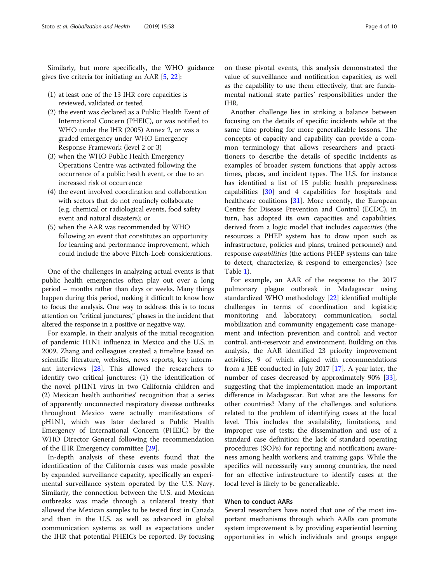Similarly, but more specifically, the WHO guidance gives five criteria for initiating an AAR [\[5](#page-8-0), [22](#page-9-0)]:

- (1) at least one of the 13 IHR core capacities is reviewed, validated or tested
- (2) the event was declared as a Public Health Event of International Concern (PHEIC), or was notified to WHO under the IHR (2005) Annex 2, or was a graded emergency under WHO Emergency Response Framework (level 2 or 3)
- (3) when the WHO Public Health Emergency Operations Centre was activated following the occurrence of a public health event, or due to an increased risk of occurrence
- (4) the event involved coordination and collaboration with sectors that do not routinely collaborate (e.g. chemical or radiological events, food safety event and natural disasters); or
- (5) when the AAR was recommended by WHO following an event that constitutes an opportunity for learning and performance improvement, which could include the above Piltch-Loeb considerations.

One of the challenges in analyzing actual events is that public health emergencies often play out over a long period – months rather than days or weeks. Many things happen during this period, making it difficult to know how to focus the analysis. One way to address this is to focus attention on "critical junctures," phases in the incident that altered the response in a positive or negative way.

For example, in their analysis of the initial recognition of pandemic H1N1 influenza in Mexico and the U.S. in 2009, Zhang and colleagues created a timeline based on scientific literature, websites, news reports, key informant interviews [[28\]](#page-9-0). This allowed the researchers to identify two critical junctures: (1) the identification of the novel pH1N1 virus in two California children and (2) Mexican health authorities' recognition that a series of apparently unconnected respiratory disease outbreaks throughout Mexico were actually manifestations of pH1N1, which was later declared a Public Health Emergency of International Concern (PHEIC) by the WHO Director General following the recommendation of the IHR Emergency committee [[29\]](#page-9-0).

In-depth analysis of these events found that the identification of the California cases was made possible by expanded surveillance capacity, specifically an experimental surveillance system operated by the U.S. Navy. Similarly, the connection between the U.S. and Mexican outbreaks was made through a trilateral treaty that allowed the Mexican samples to be tested first in Canada and then in the U.S. as well as advanced in global communication systems as well as expectations under the IHR that potential PHEICs be reported. By focusing

on these pivotal events, this analysis demonstrated the value of surveillance and notification capacities, as well as the capability to use them effectively, that are fundamental national state parties' responsibilities under the IHR.

Another challenge lies in striking a balance between focusing on the details of specific incidents while at the same time probing for more generalizable lessons. The concepts of capacity and capability can provide a common terminology that allows researchers and practitioners to describe the details of specific incidents as examples of broader system functions that apply across times, places, and incident types. The U.S. for instance has identified a list of 15 public health preparedness capabilities [\[30](#page-9-0)] and 4 capabilities for hospitals and healthcare coalitions [[31](#page-9-0)]. More recently, the European Centre for Disease Prevention and Control (ECDC), in turn, has adopted its own capacities and capabilities, derived from a logic model that includes capacities (the resources a PHEP system has to draw upon such as infrastructure, policies and plans, trained personnel) and response capabilities (the actions PHEP systems can take to detect, characterize, & respond to emergencies) (see Table [1\)](#page-4-0).

For example, an AAR of the response to the 2017 pulmonary plague outbreak in Madagascar using standardized WHO methodology [\[22](#page-9-0)] identified multiple challenges in terms of coordination and logistics; monitoring and laboratory; communication, social mobilization and community engagement; case management and infection prevention and control; and vector control, anti-reservoir and environment. Building on this analysis, the AAR identified 23 priority improvement activities, 9 of which aligned with recommendations from a JEE conducted in July 2017 [[17\]](#page-9-0). A year later, the number of cases decreased by approximately 90% [\[33](#page-9-0)], suggesting that the implementation made an important difference in Madagascar. But what are the lessons for other countries? Many of the challenges and solutions related to the problem of identifying cases at the local level. This includes the availability, limitations, and improper use of tests; the dissemination and use of a standard case definition; the lack of standard operating procedures (SOPs) for reporting and notification; awareness among health workers; and training gaps. While the specifics will necessarily vary among countries, the need for an effective infrastructure to identify cases at the local level is likely to be generalizable.

## When to conduct AARs

Several researchers have noted that one of the most important mechanisms through which AARs can promote system improvement is by providing experiential learning opportunities in which individuals and groups engage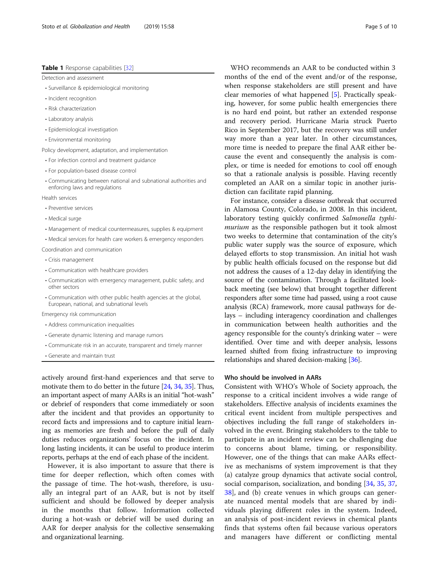## <span id="page-4-0"></span>Table 1 Response capabilities [\[32](#page-9-0)]

Detection and assessment

- Surveillance & epidemiological monitoring
- Incident recognition
- Risk characterization
- Laboratory analysis
- Epidemiological investigation
- Environmental monitoring

Policy development, adaptation, and implementation

- For infection control and treatment guidance
- For population-based disease control
- Communicating between national and subnational authorities and enforcing laws and regulations

Health services

- Preventive services
- Medical surge
- Management of medical countermeasures, supplies & equipment
- Medical services for health care workers & emergency responders

Coordination and communication

- Crisis management
- Communication with healthcare providers
- Communication with emergency management, public safety, and other sectors
- Communication with other public health agencies at the global, European, national, and subnational levels

Emergency risk communication

- Address communication inequalities
- Generate dynamic listening and manage rumors
- Communicate risk in an accurate, transparent and timely manner
- Generate and maintain trust

actively around first-hand experiences and that serve to motivate them to do better in the future [\[24,](#page-9-0) [34,](#page-9-0) [35](#page-9-0)]. Thus, an important aspect of many AARs is an initial "hot-wash" or debrief of responders that come immediately or soon after the incident and that provides an opportunity to record facts and impressions and to capture initial learning as memories are fresh and before the pull of daily duties reduces organizations' focus on the incident. In long lasting incidents, it can be useful to produce interim reports, perhaps at the end of each phase of the incident.

However, it is also important to assure that there is time for deeper reflection, which often comes with the passage of time. The hot-wash, therefore, is usually an integral part of an AAR, but is not by itself sufficient and should be followed by deeper analysis in the months that follow. Information collected during a hot-wash or debrief will be used during an AAR for deeper analysis for the collective sensemaking and organizational learning.

WHO recommends an AAR to be conducted within 3 months of the end of the event and/or of the response, when response stakeholders are still present and have clear memories of what happened [[5\]](#page-8-0). Practically speaking, however, for some public health emergencies there is no hard end point, but rather an extended response and recovery period. Hurricane Maria struck Puerto Rico in September 2017, but the recovery was still under way more than a year later. In other circumstances, more time is needed to prepare the final AAR either because the event and consequently the analysis is complex, or time is needed for emotions to cool off enough so that a rationale analysis is possible. Having recently completed an AAR on a similar topic in another jurisdiction can facilitate rapid planning.

For instance, consider a disease outbreak that occurred in Alamosa County, Colorado, in 2008. In this incident, laboratory testing quickly confirmed Salmonella typhimurium as the responsible pathogen but it took almost two weeks to determine that contamination of the city's public water supply was the source of exposure, which delayed efforts to stop transmission. An initial hot wash by public health officials focused on the response but did not address the causes of a 12-day delay in identifying the source of the contamination. Through a facilitated lookback meeting (see below) that brought together different responders after some time had passed, using a root cause analysis (RCA) framework, more causal pathways for delays – including interagency coordination and challenges in communication between health authorities and the agency responsible for the county's drinking water – were identified. Over time and with deeper analysis, lessons learned shifted from fixing infrastructure to improving relationships and shared decision-making [\[36\]](#page-9-0).

## Who should be involved in AARs

Consistent with WHO's Whole of Society approach, the response to a critical incident involves a wide range of stakeholders. Effective analysis of incidents examines the critical event incident from multiple perspectives and objectives including the full range of stakeholders involved in the event. Bringing stakeholders to the table to participate in an incident review can be challenging due to concerns about blame, timing, or responsibility. However, one of the things that can make AARs effective as mechanisms of system improvement is that they (a) catalyze group dynamics that activate social control, social comparison, socialization, and bonding [[34](#page-9-0), [35](#page-9-0), [37](#page-9-0), [38\]](#page-9-0), and (b) create venues in which groups can generate nuanced mental models that are shared by individuals playing different roles in the system. Indeed, an analysis of post-incident reviews in chemical plants finds that systems often fail because various operators and managers have different or conflicting mental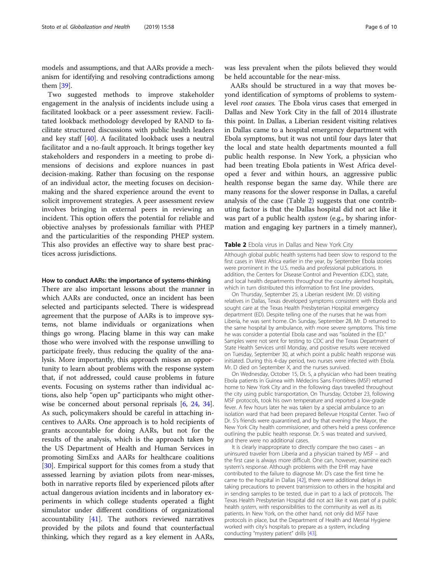models and assumptions, and that AARs provide a mechanism for identifying and resolving contradictions among them [\[39\]](#page-9-0).

Two suggested methods to improve stakeholder engagement in the analysis of incidents include using a facilitated lookback or a peer assessment review. Facilitated lookback methodology developed by RAND to facilitate structured discussions with public health leaders and key staff [[40\]](#page-9-0). A facilitated lookback uses a neutral facilitator and a no-fault approach. It brings together key stakeholders and responders in a meeting to probe dimensions of decisions and explore nuances in past decision-making. Rather than focusing on the response of an individual actor, the meeting focuses on decisionmaking and the shared experience around the event to solicit improvement strategies. A peer assessment review involves bringing in external peers in reviewing an incident. This option offers the potential for reliable and objective analyses by professionals familiar with PHEP and the particularities of the responding PHEP system. This also provides an effective way to share best practices across jurisdictions.

## How to conduct AARs: the importance of systems-thinking

There are also important lessons about the manner in which AARs are conducted, once an incident has been selected and participants selected. There is widespread agreement that the purpose of AARs is to improve systems, not blame individuals or organizations when things go wrong. Placing blame in this way can make those who were involved with the response unwilling to participate freely, thus reducing the quality of the analysis. More importantly, this approach misses an opportunity to learn about problems with the response system that, if not addressed, could cause problems in future events. Focusing on systems rather than individual actions, also help "open up" participants who might otherwise be concerned about personal reprisals [[6](#page-9-0), [24,](#page-9-0) [34](#page-9-0)]. As such, policymakers should be careful in attaching incentives to AARs. One approach is to hold recipients of grants accountable for doing AARs, but not for the results of the analysis, which is the approach taken by the US Department of Health and Human Services in promoting SimExs and AARs for healthcare coalitions [[30\]](#page-9-0). Empirical support for this comes from a study that assessed learning by aviation pilots from near-misses, both in narrative reports filed by experienced pilots after actual dangerous aviation incidents and in laboratory experiments in which college students operated a flight simulator under different conditions of organizational accountability [[41\]](#page-9-0). The authors reviewed narratives provided by the pilots and found that counterfactual thinking, which they regard as a key element in AARs,

was less prevalent when the pilots believed they would be held accountable for the near-miss.

AARs should be structured in a way that moves beyond identification of symptoms of problems to systemlevel root causes. The Ebola virus cases that emerged in Dallas and New York City in the fall of 2014 illustrate this point. In Dallas, a Liberian resident visiting relatives in Dallas came to a hospital emergency department with Ebola symptoms, but it was not until four days later that the local and state health departments mounted a full public health response. In New York, a physician who had been treating Ebola patients in West Africa developed a fever and within hours, an aggressive public health response began the same day. While there are many reasons for the slower response in Dallas, a careful analysis of the case (Table 2) suggests that one contributing factor is that the Dallas hospital did not act like it was part of a public health *system* (e.g., by sharing information and engaging key partners in a timely manner),

## Table 2 Ebola virus in Dallas and New York City

Although global public health systems had been slow to respond to the first cases in West Africa earlier in the year, by September Ebola stories were prominent in the U.S. media and professional publications. In addition, the Centers for Disease Control and Prevention (CDC), state, and local health departments throughout the country alerted hospitals, which in turn distributed this information to first line providers.

On Thursday, September 25, a Liberian resident (Mr. D) visiting relatives in Dallas, Texas developed symptoms consistent with Ebola and sought care at the Texas Health Presbyterian Hospital emergency department (ED). Despite telling one of the nurses that he was from Liberia, he was sent home. On Sunday, September 28, Mr. D returned to the same hospital by ambulance, with more severe symptoms. This time he was consider a potential Ebola case and was "isolated in the ED." Samples were not sent for testing to CDC and the Texas Department of State Health Services until Monday, and positive results were received on Tuesday, September 30, at which point a public health response was initiated. During this 4-day period, two nurses were infected with Ebola. Mr. D died on September X, and the nurses survived.

On Wednesday, October 15, Dr. S, a physician who had been treating Ebola patients in Guinea with Médecins Sans Frontières (MSF) returned home to New York City and in the following days travelled throughout the city using public transportation. On Thursday, October 23, following MSF protocols, took his own temperature and reported a low-grade fever. A few hours later he was taken by a special ambulance to an isolation ward that had been prepared Bellevue Hospital Center. Two of Dr. S's friends were quarantined, and by that evening the Mayor, the New York City health commissioner, and others held a press conference outlining the public health response. Dr. S was treated and survived, and there were no additional cases.

It is clearly inappropriate to directly compare the two cases – an uninsured traveler from Liberia and a physician trained by MSF – and the first case is always more difficult. One can, however, examine each system's response. Although problems with the EHR may have contributed to the failure to diagnose Mr. D's case the first time he came to the hospital in Dallas [\[42\]](#page-9-0), there were additional delays in taking precautions to prevent transmission to others in the hospital and in sending samples to be tested, due in part to a lack of protocols. The Texas Health Presbyterian Hospital did not act like it was part of a public health system, with responsibilities to the community as well as its patients. In New York, on the other hand, not only did MSF have protocols in place, but the Department of Health and Mental Hygiene worked with city's hospitals to prepare as a system, including conducting "mystery patient" drills [\[43](#page-9-0)].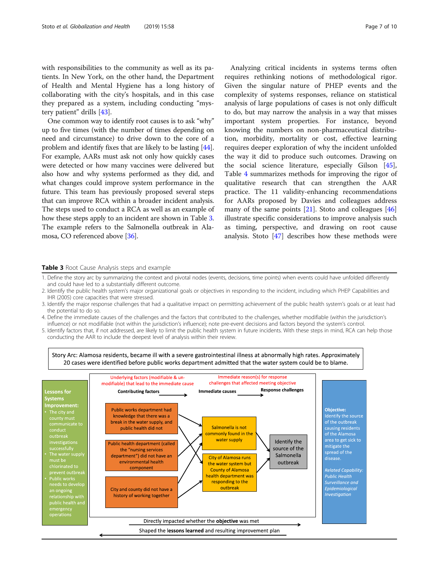with responsibilities to the community as well as its patients. In New York, on the other hand, the Department of Health and Mental Hygiene has a long history of collaborating with the city's hospitals, and in this case they prepared as a system, including conducting "mystery patient" drills [[43](#page-9-0)].

One common way to identify root causes is to ask "why" up to five times (with the number of times depending on need and circumstance) to drive down to the core of a problem and identify fixes that are likely to be lasting [[44](#page-9-0)]. For example, AARs must ask not only how quickly cases were detected or how many vaccines were delivered but also how and why systems performed as they did, and what changes could improve system performance in the future. This team has previously proposed several steps that can improve RCA within a broader incident analysis. The steps used to conduct a RCA as well as an example of how these steps apply to an incident are shown in Table 3. The example refers to the Salmonella outbreak in Alamosa, CO referenced above [[36](#page-9-0)].

Analyzing critical incidents in systems terms often requires rethinking notions of methodological rigor. Given the singular nature of PHEP events and the complexity of systems responses, reliance on statistical analysis of large populations of cases is not only difficult to do, but may narrow the analysis in a way that misses important system properties. For instance, beyond knowing the numbers on non-pharmaceutical distribution, morbidity, mortality or cost, effective learning requires deeper exploration of why the incident unfolded the way it did to produce such outcomes. Drawing on the social science literature, especially Gilson [\[45](#page-9-0)], Table [4](#page-7-0) summarizes methods for improving the rigor of qualitative research that can strengthen the AAR practice. The 11 validity-enhancing recommendations for AARs proposed by Davies and colleagues address many of the same points  $[21]$  $[21]$ . Stoto and colleagues  $[46]$  $[46]$  $[46]$ illustrate specific considerations to improve analysis such as timing, perspective, and drawing on root cause analysis. Stoto [\[47\]](#page-9-0) describes how these methods were

#### **Table 3** Root Cause Analysis steps and example

- 2. Identify the public health system's major organizational goals or objectives in responding to the incident, including which PHEP Capabilities and IHR (2005) core capacities that were stressed.
- 3. Identify the major response challenges that had a qualitative impact on permitting achievement of the public health system's goals or at least had the potential to do so.
- 4. Define the immediate causes of the challenges and the factors that contributed to the challenges, whether modifiable (within the jurisdiction's influence) or not modifiable (not within the jurisdiction's influence); note pre-event decisions and factors beyond the system's control.
- 5. Identify factors that, if not addressed, are likely to limit the public health system in future incidents. With these steps in mind, RCA can help those conducting the AAR to include the deepest level of analysis within their review.



<sup>1.</sup> Define the story arc by summarizing the context and pivotal nodes (events, decisions, time points) when events could have unfolded differently and could have led to a substantially different outcome.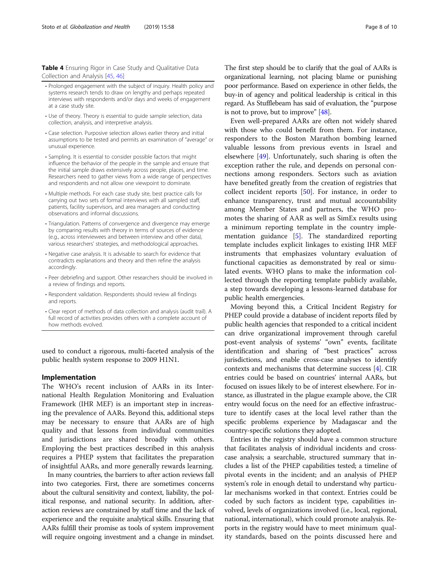<span id="page-7-0"></span>Table 4 Ensuring Rigor in Case Study and Qualitative Data Collection and Analysis [\[45,](#page-9-0) [46\]](#page-9-0)

- Prolonged engagement with the subject of inquiry. Health policy and systems research tends to draw on lengthy and perhaps repeated interviews with respondents and/or days and weeks of engagement at a case study site.
- Use of theory. Theory is essential to guide sample selection, data collection, analysis, and interpretive analysis.
- Case selection. Purposive selection allows earlier theory and initial assumptions to be tested and permits an examination of "average" or unusual experience.
- Sampling. It is essential to consider possible factors that might influence the behavior of the people in the sample and ensure that the initial sample draws extensively across people, places, and time. Researchers need to gather views from a wide range of perspectives and respondents and not allow one viewpoint to dominate.
- Multiple methods. For each case study site, best practice calls for carrying out two sets of formal interviews with all sampled staff, patients, facility supervisors, and area managers and conducting observations and informal discussions.
- Triangulation. Patterns of convergence and divergence may emerge by comparing results with theory in terms of sources of evidence (e.g., across interviewees and between interview and other data), various researchers' strategies, and methodological approaches.
- Negative case analysis. It is advisable to search for evidence that contradicts explanations and theory and then refine the analysis accordingly.
- Peer debriefing and support. Other researchers should be involved in a review of findings and reports.
- Respondent validation. Respondents should review all findings and reports.
- Clear report of methods of data collection and analysis (audit trail). A full record of activities provides others with a complete account of how methods evolved.

used to conduct a rigorous, multi-faceted analysis of the public health system response to 2009 H1N1.

## Implementation

The WHO's recent inclusion of AARs in its International Health Regulation Monitoring and Evaluation Framework (IHR MEF) is an important step in increasing the prevalence of AARs. Beyond this, additional steps may be necessary to ensure that AARs are of high quality and that lessons from individual communities and jurisdictions are shared broadly with others. Employing the best practices described in this analysis requires a PHEP system that facilitates the preparation of insightful AARs, and more generally rewards learning.

In many countries, the barriers to after action reviews fall into two categories. First, there are sometimes concerns about the cultural sensitivity and context, liability, the political response, and national security. In addition, afteraction reviews are constrained by staff time and the lack of experience and the requisite analytical skills. Ensuring that AARs fulfill their promise as tools of system improvement will require ongoing investment and a change in mindset. The first step should be to clarify that the goal of AARs is organizational learning, not placing blame or punishing poor performance. Based on experience in other fields, the buy-in of agency and political leadership is critical in this regard. As Stufflebeam has said of evaluation, the "purpose is not to prove, but to improve"  $[48]$ .

Even well-prepared AARs are often not widely shared with those who could benefit from them. For instance, responders to the Boston Marathon bombing learned valuable lessons from previous events in Israel and elsewhere [[49](#page-9-0)]. Unfortunately, such sharing is often the exception rather the rule, and depends on personal connections among responders. Sectors such as aviation have benefited greatly from the creation of registries that collect incident reports [\[50](#page-9-0)]. For instance, in order to enhance transparency, trust and mutual accountability among Member States and partners, the WHO promotes the sharing of AAR as well as SimEx results using a minimum reporting template in the country implementation guidance [[5\]](#page-8-0). The standardized reporting template includes explicit linkages to existing IHR MEF instruments that emphasizes voluntary evaluation of functional capacities as demonstrated by real or simulated events. WHO plans to make the information collected through the reporting template publicly available, a step towards developing a lessons-learned database for public health emergencies.

Moving beyond this, a Critical Incident Registry for PHEP could provide a database of incident reports filed by public health agencies that responded to a critical incident can drive organizational improvement through careful post-event analysis of systems' "own" events, facilitate identification and sharing of "best practices" across jurisdictions, and enable cross-case analyses to identify contexts and mechanisms that determine success [[4\]](#page-8-0). CIR entries could be based on countries' internal AARs, but focused on issues likely to be of interest elsewhere. For instance, as illustrated in the plague example above, the CIR entry would focus on the need for an effective infrastructure to identify cases at the local level rather than the specific problems experience by Madagascar and the country-specific solutions they adopted.

Entries in the registry should have a common structure that facilitates analysis of individual incidents and crosscase analysis; a searchable, structured summary that includes a list of the PHEP capabilities tested; a timeline of pivotal events in the incident; and an analysis of PHEP system's role in enough detail to understand why particular mechanisms worked in that context. Entries could be coded by such factors as incident type, capabilities involved, levels of organizations involved (i.e., local, regional, national, international), which could promote analysis. Reports in the registry would have to meet minimum quality standards, based on the points discussed here and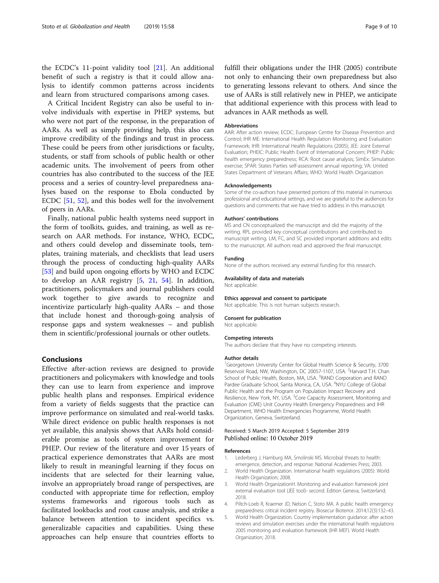<span id="page-8-0"></span>the ECDC's 11-point validity tool [\[21](#page-9-0)]. An additional benefit of such a registry is that it could allow analysis to identify common patterns across incidents and learn from structured comparisons among cases.

A Critical Incident Registry can also be useful to involve individuals with expertise in PHEP systems, but who were not part of the response, in the preparation of AARs. As well as simply providing help, this also can improve credibility of the findings and trust in process. These could be peers from other jurisdictions or faculty, students, or staff from schools of public health or other academic units. The involvement of peers from other countries has also contributed to the success of the JEE process and a series of country-level preparedness analyses based on the response to Ebola conducted by ECDC [[51](#page-9-0), [52\]](#page-9-0), and this bodes well for the involvement of peers in AARs.

Finally, national public health systems need support in the form of toolkits, guides, and training, as well as research on AAR methods. For instance, WHO, ECDC, and others could develop and disseminate tools, templates, training materials, and checklists that lead users through the process of conducting high-quality AARs [[53\]](#page-9-0) and build upon ongoing efforts by WHO and ECDC to develop an AAR registry [5, [21](#page-9-0), [54](#page-9-0)]. In addition, practitioners, policymakers and journal publishers could work together to give awards to recognize and incentivize particularly high-quality AARs – and those that include honest and thorough-going analysis of response gaps and system weaknesses – and publish them in scientific/professional journals or other outlets.

## Conclusions

Effective after-action reviews are designed to provide practitioners and policymakers with knowledge and tools they can use to learn from experience and improve public health plans and responses. Empirical evidence from a variety of fields suggests that the practice can improve performance on simulated and real-world tasks. While direct evidence on public health responses is not yet available, this analysis shows that AARs hold considerable promise as tools of system improvement for PHEP. Our review of the literature and over 15 years of practical experience demonstrates that AARs are most likely to result in meaningful learning if they focus on incidents that are selected for their learning value, involve an appropriately broad range of perspectives, are conducted with appropriate time for reflection, employ systems frameworks and rigorous tools such as facilitated lookbacks and root cause analysis, and strike a balance between attention to incident specifics vs. generalizable capacities and capabilities. Using these approaches can help ensure that countries efforts to

#### Abbreviations

AAR: After action review; ECDC: European Centre for Disease Prevention and Control; IHR ME: International Health Regulation Monitoring and Evaluation Framework; IHR: International Health Regulations (2005); JEE: Joint External Evaluation; PHEIC: Public Health Event of International Concern; PHEP: Public health emergency preparedness; RCA: Root cause analysis; SimEx: Simulation exercise; SPAR: States Parties self-assessment annual reporting; VA: United States Department of Veterans Affairs; WHO: World Health Organization

#### Acknowledgements

Some of the co-authors have presented portions of this material in numerous professional and educational settings, and we are grateful to the audiences for questions and comments that we have tried to address in this manuscript.

#### Authors' contributions

MS and CN conceptualized the manuscript and did the majority of the writing. RPL provided key conceptual contributions and contributed to manuscript writing. LM, FC, and SC provided important additions and edits to the manuscript. All authors read and approved the final manuscript.

## Funding

None of the authors received any external funding for this research.

#### Availability of data and materials

Not applicable.

#### Ethics approval and consent to participate

Not applicable. This is not human subjects research.

#### Consent for publication

Not applicable.

# Competing interests

The authors declare that they have no competing interests.

#### Author details

<sup>1</sup>Georgetown University Center for Global Health Science & Security, 3700 Reservoir Road, NW, Washington, DC 20057-1107, USA. <sup>2</sup>Harvard T.H. Chan School of Public Health, Boston, MA, USA. <sup>3</sup>RAND Corporation and RAND Pardee Graduate School, Santa Monica, CA, USA. <sup>4</sup>NYU College of Global Public Health and the Program on Population Impact Recovery and Resilience, New York, NY, USA. <sup>5</sup>Core Capacity Assessment, Monitoring and Evaluation (CME) Unit Country Health Emergency Preparedness and IHR Department, WHO Health Emergencies Programme, World Health Organization, Geneva, Switzerland.

#### Received: 5 March 2019 Accepted: 5 September 2019 Published online: 10 October 2019

#### References

- Lederberg J, Hamburg MA, Smolinski MS. Microbial threats to health: emergence, detection, and response: National Academies Press; 2003. 2. World Health Organization. International health regulations (2005): World
- Health Organization; 2008. 3. World Health OrganizationH. Monitoring and evaluation framework joint
- external evaluation tool (JEE tool)- second. Edition Geneva, Switzerland; 2018.
- 4. Piltch-Loeb R, Kraemer JD, Nelson C, Stoto MA. A public health emergency preparedness critical incident registry. Biosecur Bioterror. 2014;12(3):132–43.
- 5. World Health Organization. Country implementation guidance: after action reviews and simulation exercises under the international health regulations 2005 monitoring and evaluation framework (IHR MEF). World Health Organization; 2018.